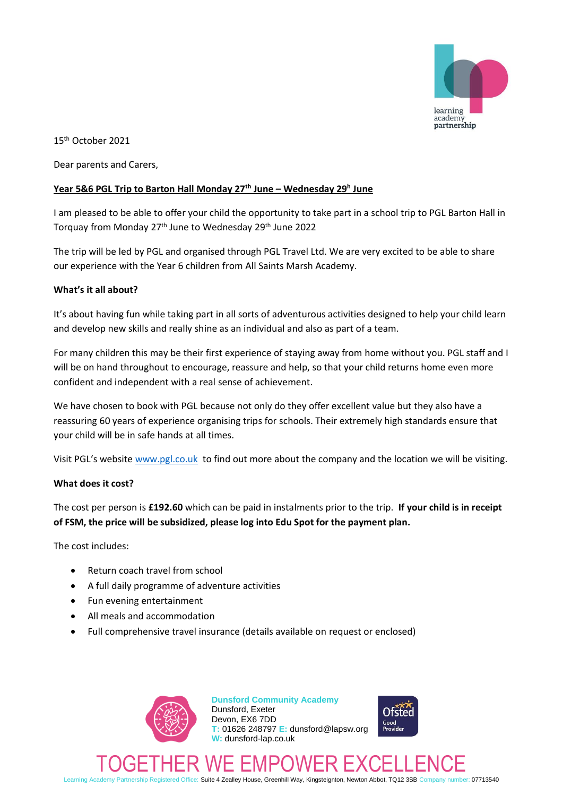

15 th October 2021

Dear parents and Carers,

## **Year 5&6 PGL Trip to Barton Hall Monday 27th June – Wednesday 29<sup>h</sup> June**

I am pleased to be able to offer your child the opportunity to take part in a school trip to PGL Barton Hall in Torquay from Monday 27<sup>th</sup> June to Wednesday 29<sup>th</sup> June 2022

The trip will be led by PGL and organised through PGL Travel Ltd. We are very excited to be able to share our experience with the Year 6 children from All Saints Marsh Academy.

#### **What's it all about?**

It's about having fun while taking part in all sorts of adventurous activities designed to help your child learn and develop new skills and really shine as an individual and also as part of a team.

For many children this may be their first experience of staying away from home without you. PGL staff and I will be on hand throughout to encourage, reassure and help, so that your child returns home even more confident and independent with a real sense of achievement.

We have chosen to book with PGL because not only do they offer excellent value but they also have a reassuring 60 years of experience organising trips for schools. Their extremely high standards ensure that your child will be in safe hands at all times.

Visit PGL's website [www.pgl.co.uk](http://www.pgl.co.uk/) to find out more about the company and the location we will be visiting.

#### **What does it cost?**

The cost per person is **£192.60** which can be paid in instalments prior to the trip. **If your child is in receipt of FSM, the price will be subsidized, please log into Edu Spot for the payment plan.**

The cost includes:

- Return coach travel from school
- A full daily programme of adventure activities
- Fun evening entertainment
- All meals and accommodation
- Full comprehensive travel insurance (details available on request or enclosed)



**Dunsford Community Academy** Dunsford, Exeter Devon, EX6 7DD **T:** 01626 248797 **E:** dunsford@lapsw.org **W:** dunsford-lap.co.uk



TOGETHER WE EMPOWER EXCELLENCE Learning Academy Partnership Registered Office: Suite 4 Zealley House, Greenhill Way, Kingsteignton, Newton Abbot, TQ12 3SB Company number: 07713540